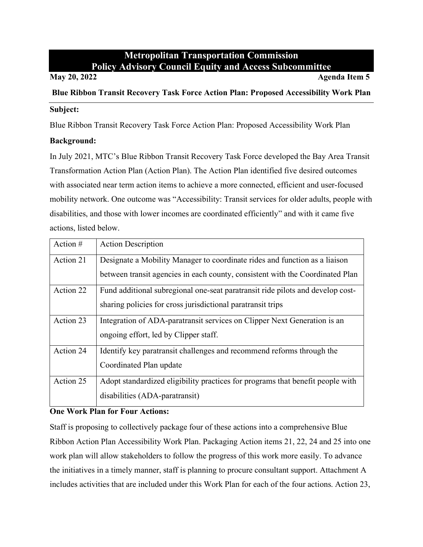## **Metropolitan Transportation Commission Policy Advisory Council Equity and Access Subcommittee**

**May 20, 2022 Agenda Item 5**

# **Blue Ribbon Transit Recovery Task Force Action Plan: Proposed Accessibility Work Plan Subject:**

Blue Ribbon Transit Recovery Task Force Action Plan: Proposed Accessibility Work Plan

### **Background:**

In July 2021, MTC's Blue Ribbon Transit Recovery Task Force developed the Bay Area Transit Transformation Action Plan (Action Plan). The Action Plan identified five desired outcomes with associated near term action items to achieve a more connected, efficient and user-focused mobility network. One outcome was "Accessibility: Transit services for older adults, people with disabilities, and those with lower incomes are coordinated efficiently" and with it came five actions, listed below.

| Action $#$ | <b>Action Description</b>                                                      |  |  |
|------------|--------------------------------------------------------------------------------|--|--|
| Action 21  | Designate a Mobility Manager to coordinate rides and function as a liaison     |  |  |
|            | between transit agencies in each county, consistent with the Coordinated Plan  |  |  |
| Action 22  | Fund additional subregional one-seat paratransit ride pilots and develop cost- |  |  |
|            | sharing policies for cross jurisdictional paratransit trips                    |  |  |
| Action 23  | Integration of ADA-paratransit services on Clipper Next Generation is an       |  |  |
|            | ongoing effort, led by Clipper staff.                                          |  |  |
| Action 24  | Identify key paratransit challenges and recommend reforms through the          |  |  |
|            | Coordinated Plan update                                                        |  |  |
| Action 25  | Adopt standardized eligibility practices for programs that benefit people with |  |  |
|            | disabilities (ADA-paratransit)                                                 |  |  |

### **One Work Plan for Four Actions:**

Staff is proposing to collectively package four of these actions into a comprehensive Blue Ribbon Action Plan Accessibility Work Plan. Packaging Action items 21, 22, 24 and 25 into one work plan will allow stakeholders to follow the progress of this work more easily. To advance the initiatives in a timely manner, staff is planning to procure consultant support. Attachment A includes activities that are included under this Work Plan for each of the four actions. Action 23,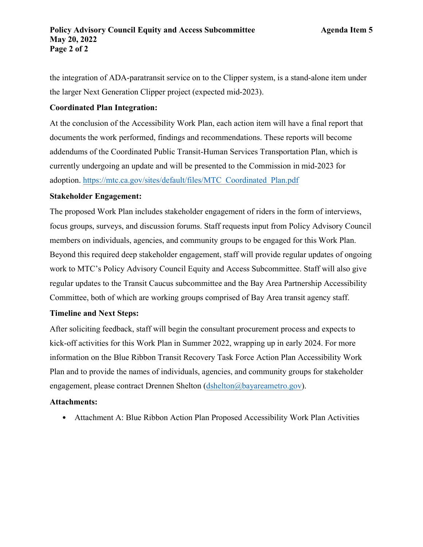the integration of ADA-paratransit service on to the Clipper system, is a stand-alone item under the larger Next Generation Clipper project (expected mid-2023).

#### **Coordinated Plan Integration:**

At the conclusion of the Accessibility Work Plan, each action item will have a final report that documents the work performed, findings and recommendations. These reports will become addendums of the Coordinated Public Transit-Human Services Transportation Plan, which is currently undergoing an update and will be presented to the Commission in mid-2023 for adoption. [https://mtc.ca.gov/sites/default/files/MTC\\_Coordinated\\_Plan.pdf](https://mtc.ca.gov/sites/default/files/MTC_Coordinated_Plan.pdf)

#### **Stakeholder Engagement:**

The proposed Work Plan includes stakeholder engagement of riders in the form of interviews, focus groups, surveys, and discussion forums. Staff requests input from Policy Advisory Council members on individuals, agencies, and community groups to be engaged for this Work Plan. Beyond this required deep stakeholder engagement, staff will provide regular updates of ongoing work to MTC's Policy Advisory Council Equity and Access Subcommittee. Staff will also give regular updates to the Transit Caucus subcommittee and the Bay Area Partnership Accessibility Committee, both of which are working groups comprised of Bay Area transit agency staff.

#### **Timeline and Next Steps:**

After soliciting feedback, staff will begin the consultant procurement process and expects to kick-off activities for this Work Plan in Summer 2022, wrapping up in early 2024. For more information on the Blue Ribbon Transit Recovery Task Force Action Plan Accessibility Work Plan and to provide the names of individuals, agencies, and community groups for stakeholder engagement, please contract Drennen Shelton (dshelton @bayareametro.gov).

#### **Attachments:**

• Attachment A: Blue Ribbon Action Plan Proposed Accessibility Work Plan Activities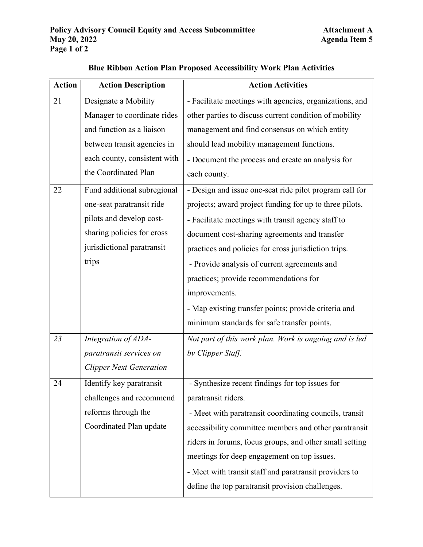| <b>Action Description</b>      | <b>Action Activities</b>                                |
|--------------------------------|---------------------------------------------------------|
| Designate a Mobility           | - Facilitate meetings with agencies, organizations, and |
| Manager to coordinate rides    | other parties to discuss current condition of mobility  |
| and function as a liaison      | management and find consensus on which entity           |
| between transit agencies in    | should lead mobility management functions.              |
| each county, consistent with   | - Document the process and create an analysis for       |
| the Coordinated Plan           | each county.                                            |
| Fund additional subregional    | - Design and issue one-seat ride pilot program call for |
| one-seat paratransit ride      | projects; award project funding for up to three pilots. |
| pilots and develop cost-       | - Facilitate meetings with transit agency staff to      |
| sharing policies for cross     | document cost-sharing agreements and transfer           |
| jurisdictional paratransit     | practices and policies for cross jurisdiction trips.    |
| trips                          | - Provide analysis of current agreements and            |
|                                | practices; provide recommendations for                  |
|                                | improvements.                                           |
|                                | - Map existing transfer points; provide criteria and    |
|                                | minimum standards for safe transfer points.             |
| Integration of ADA-            | Not part of this work plan. Work is ongoing and is led  |
| paratransit services on        | by Clipper Staff.                                       |
| <b>Clipper Next Generation</b> |                                                         |
| Identify key paratransit       | - Synthesize recent findings for top issues for         |
| challenges and recommend       | paratransit riders.                                     |
| reforms through the            | - Meet with paratransit coordinating councils, transit  |
| Coordinated Plan update        | accessibility committee members and other paratransit   |
|                                | riders in forums, focus groups, and other small setting |
|                                | meetings for deep engagement on top issues.             |
|                                | - Meet with transit staff and paratransit providers to  |
|                                | define the top paratransit provision challenges.        |
|                                |                                                         |

#### **Blue Ribbon Action Plan Proposed Accessibility Work Plan Activities**